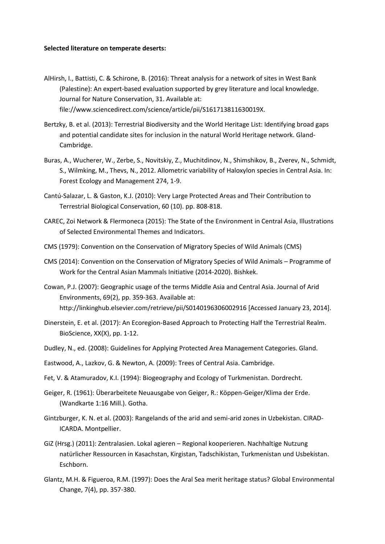## **Selected literature on temperate deserts:**

- AlHirsh, I., Battisti, C. & Schirone, B. (2016): Threat analysis for a network of sites in West Bank (Palestine): An expert-based evaluation supported by grey literature and local knowledge. Journal for Nature Conservation, 31. Available at: file://www.sciencedirect.com/science/article/pii/S161713811630019X.
- Bertzky, B. et al. (2013): Terrestrial Biodiversity and the World Heritage List: Identifying broad gaps and potential candidate sites for inclusion in the natural World Heritage network. Gland-Cambridge.
- Buras, A., Wucherer, W., Zerbe, S., Novitskiy, Z., Muchitdinov, N., Shimshikov, B., Zverev, N., Schmidt, S., Wilmking, M., Thevs, N., 2012. Allometric variability of Haloxylon species in Central Asia. In: Forest Ecology and Management 274, 1-9.
- Cantú-Salazar, L. & Gaston, K.J. (2010): Very Large Protected Areas and Their Contribution to Terrestrial Biological Conservation, 60 (10). pp. 808-818.
- CAREC, Zoi Network & Flermoneca (2015): The State of the Environment in Central Asia, Illustrations of Selected Environmental Themes and Indicators.
- CMS (1979): Convention on the Conservation of Migratory Species of Wild Animals (CMS)
- CMS (2014): Convention on the Conservation of Migratory Species of Wild Animals Programme of Work for the Central Asian Mammals Initiative (2014-2020). Bishkek.
- Cowan, P.J. (2007): Geographic usage of the terms Middle Asia and Central Asia. Journal of Arid Environments, 69(2), pp. 359-363. Available at: http://linkinghub.elsevier.com/retrieve/pii/S0140196306002916 [Accessed January 23, 2014].
- Dinerstein, E. et al. (2017): An Ecoregion-Based Approach to Protecting Half the Terrestrial Realm. BioScience, XX(X), pp. 1-12.
- Dudley, N., ed. (2008): Guidelines for Applying Protected Area Management Categories. Gland.
- Eastwood, A., Lazkov, G. & Newton, A. (2009): Trees of Central Asia. Cambridge.
- Fet, V. & Atamuradov, K.I. (1994): Biogeography and Ecology of Turkmenistan. Dordrecht.
- Geiger, R. (1961): Überarbeitete Neuausgabe von Geiger, R.: Köppen-Geiger/Klima der Erde. (Wandkarte 1:16 Mill.). Gotha.
- Gintzburger, K. N. et al. (2003): Rangelands of the arid and semi-arid zones in Uzbekistan. CIRAD-ICARDA. Montpellier.
- GiZ (Hrsg.) (2011): Zentralasien. Lokal agieren Regional kooperieren. Nachhaltige Nutzung natürlicher Ressourcen in Kasachstan, Kirgistan, Tadschikistan, Turkmenistan und Usbekistan. Eschborn.
- Glantz, M.H. & Figueroa, R.M. (1997): Does the Aral Sea merit heritage status? Global Environmental Change, 7(4), pp. 357-380.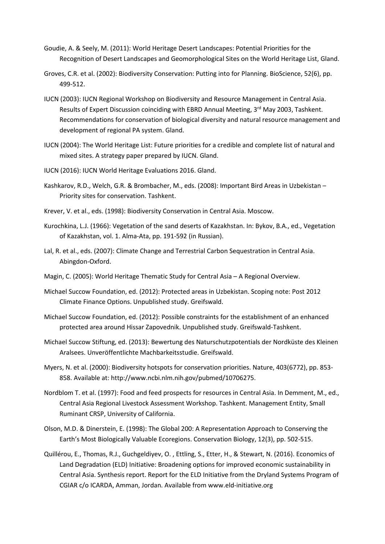- Goudie, A. & Seely, M. (2011): World Heritage Desert Landscapes: Potential Priorities for the Recognition of Desert Landscapes and Geomorphological Sites on the World Heritage List, Gland.
- Groves, C.R. et al. (2002): Biodiversity Conservation: Putting into for Planning. BioScience, 52(6), pp. 499-512.
- IUCN (2003): IUCN Regional Workshop on Biodiversity and Resource Management in Central Asia. Results of Expert Discussion coinciding with EBRD Annual Meeting, 3<sup>rd</sup> May 2003, Tashkent. Recommendations for conservation of biological diversity and natural resource management and development of regional PA system. Gland.
- IUCN (2004): The World Heritage List: Future priorities for a credible and complete list of natural and mixed sites. A strategy paper prepared by IUCN. Gland.
- IUCN (2016): IUCN World Heritage Evaluations 2016. Gland.
- Kashkarov, R.D., Welch, G.R. & Brombacher, M., eds. (2008): Important Bird Areas in Uzbekistan Priority sites for conservation. Tashkent.
- Krever, V. et al., eds. (1998): Biodiversity Conservation in Central Asia. Moscow.
- Kurochkina, L.J. (1966): Vegetation of the sand deserts of Kazakhstan. In: Bykov, B.A., ed., Vegetation of Kazakhstan, vol. 1. Alma-Ata, pp. 191-592 (in Russian).
- Lal, R. et al., eds. (2007): Climate Change and Terrestrial Carbon Sequestration in Central Asia. Abingdon-Oxford.
- Magin, C. (2005): World Heritage Thematic Study for Central Asia A Regional Overview.
- Michael Succow Foundation, ed. (2012): Protected areas in Uzbekistan. Scoping note: Post 2012 Climate Finance Options. Unpublished study. Greifswald.
- Michael Succow Foundation, ed. (2012): Possible constraints for the establishment of an enhanced protected area around Hissar Zapovednik. Unpublished study. Greifswald-Tashkent.
- Michael Succow Stiftung, ed. (2013): Bewertung des Naturschutzpotentials der Nordküste des Kleinen Aralsees. Unveröffentlichte Machbarkeitsstudie. Greifswald.
- Myers, N. et al. (2000): Biodiversity hotspots for conservation priorities. Nature, 403(6772), pp. 853- 858. Available at: http://www.ncbi.nlm.nih.gov/pubmed/10706275.
- Nordblom T. et al. (1997): Food and feed prospects for resources in Central Asia. In Demment, M., ed., Central Asia Regional Livestock Assessment Workshop. Tashkent. Management Entity, Small Ruminant CRSP, University of California.
- Olson, M.D. & Dinerstein, E. (1998): The Global 200: A Representation Approach to Conserving the Earth's Most Biologically Valuable Ecoregions. Conservation Biology, 12(3), pp. 502-515.
- Quillérou, E., Thomas, R.J., Guchgeldiyev, O. , Ettling, S., Etter, H., & Stewart, N. (2016). Economics of Land Degradation (ELD) Initiative: Broadening options for improved economic sustainability in Central Asia. Synthesis report. Report for the ELD Initiative from the Dryland Systems Program of CGIAR c/o ICARDA, Amman, Jordan. Available from www.eld-initiative.org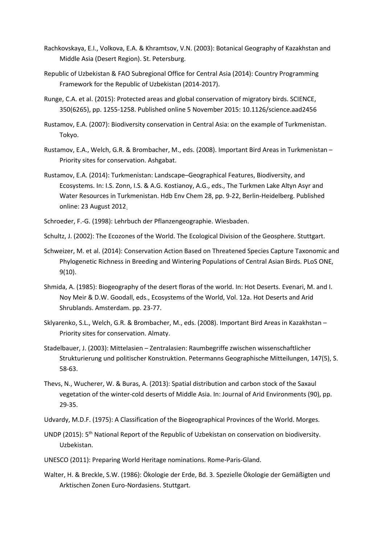- Rachkovskaya, E.I., Volkova, E.A. & Khramtsov, V.N. (2003): Botanical Geography of Kazakhstan and Middle Asia (Desert Region). St. Petersburg.
- Republic of Uzbekistan & FAO Subregional Office for Central Asia (2014): Country Programming Framework for the Republic of Uzbekistan (2014-2017).
- Runge, C.A. et al. (2015): Protected areas and global conservation of migratory birds. SCIENCE, 350(6265), pp. 1255-1258. [Published online 5 November 2015: 10.1126/science.aad2456](file:///C:/Users/Christian%20Welscher/Documents/CADI/Homepage/Dokumente/RUNGE%20et%20al..pdf)
- Rustamov, E.A. (2007): Biodiversity conservation in Central Asia: on the example of Turkmenistan. Tokyo.
- Rustamov, E.A., Welch, G.R. & Brombacher, M., eds. (2008). Important Bird Areas in Turkmenistan Priority sites for conservation. Ashgabat.
- Rustamov, E.A. (2014): Turkmenistan: Landscape–Geographical Features, Biodiversity, and Ecosystems. In: I.S. Zonn, I.S. & A.G. Kostianoy, A.G., eds., The Turkmen Lake Altyn Asyr and Water Resources in Turkmenistan. Hdb Env Chem 28, pp. 9-22, Berlin-Heidelberg. Published online: 23 August 2012.

Schroeder, F.-G. (1998): Lehrbuch der Pflanzengeographie. Wiesbaden.

Schultz, J. (2002): The Ecozones of the World. The Ecological Division of the Geosphere. Stuttgart.

- Schweizer, M. et al. (2014): Conservation Action Based on Threatened Species Capture Taxonomic and Phylogenetic Richness in Breeding and Wintering Populations of Central Asian Birds. PLoS ONE, 9(10).
- Shmida, A. (1985): Biogeography of the desert floras of the world. In: Hot Deserts. Evenari, M. and I. Noy Meir & D.W. Goodall, eds., Ecosystems of the World, Vol. 12a. Hot Deserts and Arid Shrublands. Amsterdam. pp. 23-77.
- Sklyarenko, S.L., Welch, G.R. & Brombacher, M., eds. (2008). Important Bird Areas in Kazakhstan Priority sites for conservation. Almaty.
- Stadelbauer, J. (2003): Mittelasien Zentralasien: Raumbegriffe zwischen wissenschaftlicher Strukturierung und politischer Konstruktion. Petermanns Geographische Mitteilungen, 147(5), S. 58-63.
- Thevs, N., Wucherer, W. & Buras, A. (2013): Spatial distribution and carbon stock of the Saxaul vegetation of the winter-cold deserts of Middle Asia. In: Journal of Arid Environments (90), pp. 29-35.

Udvardy, M.D.F. (1975): A Classification of the Biogeographical Provinces of the World. Morges.

- UNDP (2015): 5<sup>th</sup> National Report of the Republic of Uzbekistan on conservation on biodiversity. Uzbekistan.
- UNESCO (2011): Preparing World Heritage nominations. Rome-Paris-Gland.
- Walter, H. & Breckle, S.W. (1986): Ökologie der Erde, Bd. 3. Spezielle Ökologie der Gemäßigten und Arktischen Zonen Euro-Nordasiens. Stuttgart.